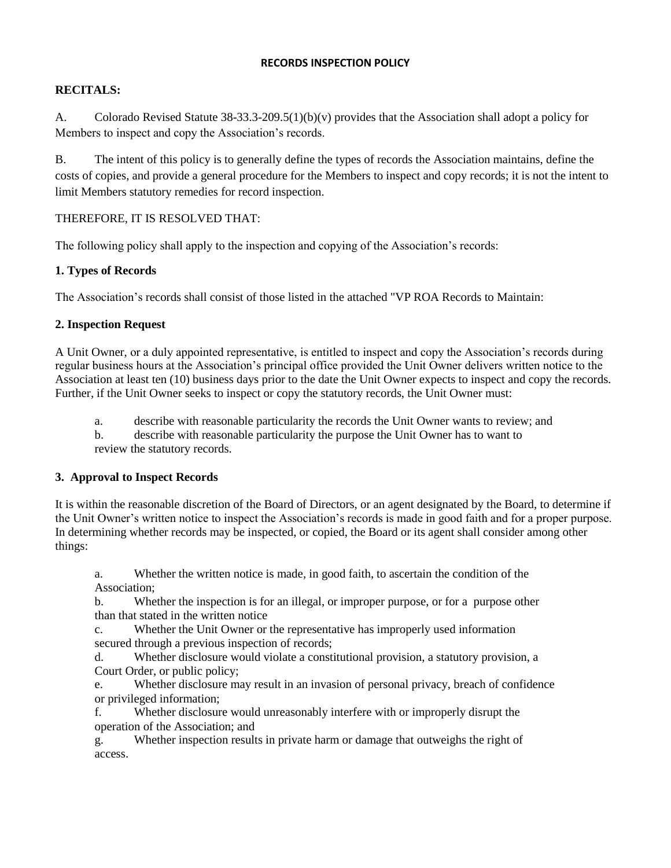#### **RECORDS INSPECTION POLICY**

## **RECITALS:**

A. Colorado Revised Statute 38-33.3-209.5(1)(b)(v) provides that the Association shall adopt a policy for Members to inspect and copy the Association's records.

B. The intent of this policy is to generally define the types of records the Association maintains, define the costs of copies, and provide a general procedure for the Members to inspect and copy records; it is not the intent to limit Members statutory remedies for record inspection.

### THEREFORE, IT IS RESOLVED THAT:

The following policy shall apply to the inspection and copying of the Association's records:

### **1. Types of Records**

The Association's records shall consist of those listed in the attached "VP ROA Records to Maintain:

### **2. Inspection Request**

A Unit Owner, or a duly appointed representative, is entitled to inspect and copy the Association's records during regular business hours at the Association's principal office provided the Unit Owner delivers written notice to the Association at least ten (10) business days prior to the date the Unit Owner expects to inspect and copy the records. Further, if the Unit Owner seeks to inspect or copy the statutory records, the Unit Owner must:

a. describe with reasonable particularity the records the Unit Owner wants to review; and

b. describe with reasonable particularity the purpose the Unit Owner has to want to review the statutory records.

#### **3. Approval to Inspect Records**

It is within the reasonable discretion of the Board of Directors, or an agent designated by the Board, to determine if the Unit Owner's written notice to inspect the Association's records is made in good faith and for a proper purpose. In determining whether records may be inspected, or copied, the Board or its agent shall consider among other things:

a. Whether the written notice is made, in good faith, to ascertain the condition of the Association;

b. Whether the inspection is for an illegal, or improper purpose, or for a purpose other than that stated in the written notice

c. Whether the Unit Owner or the representative has improperly used information secured through a previous inspection of records;

d. Whether disclosure would violate a constitutional provision, a statutory provision, a Court Order, or public policy;

e. Whether disclosure may result in an invasion of personal privacy, breach of confidence or privileged information;

f. Whether disclosure would unreasonably interfere with or improperly disrupt the operation of the Association; and

g. Whether inspection results in private harm or damage that outweighs the right of access.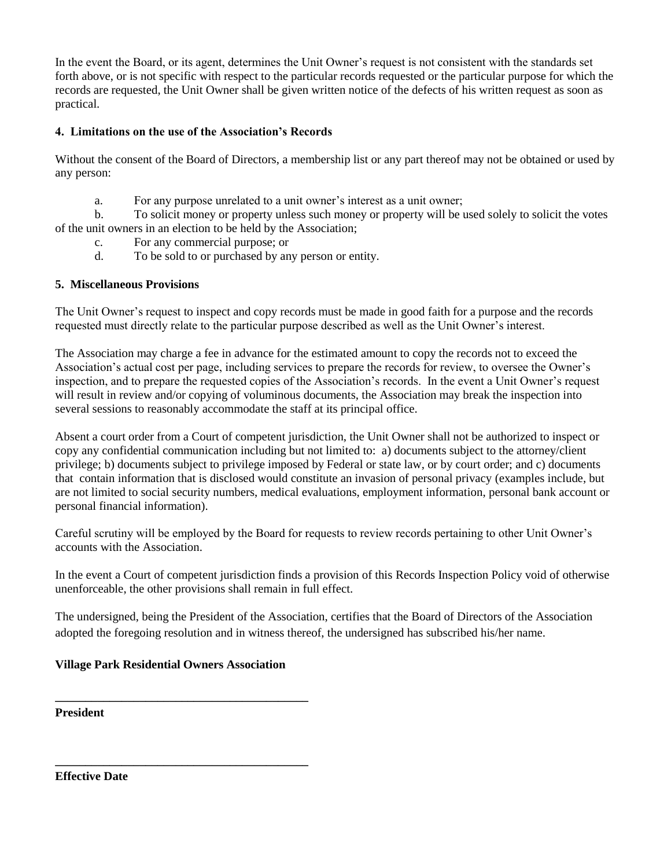In the event the Board, or its agent, determines the Unit Owner's request is not consistent with the standards set forth above, or is not specific with respect to the particular records requested or the particular purpose for which the records are requested, the Unit Owner shall be given written notice of the defects of his written request as soon as practical.

# **4. Limitations on the use of the Association's Records**

Without the consent of the Board of Directors, a membership list or any part thereof may not be obtained or used by any person:

a. For any purpose unrelated to a unit owner's interest as a unit owner;

b. To solicit money or property unless such money or property will be used solely to solicit the votes of the unit owners in an election to be held by the Association;

- c. For any commercial purpose; or
- d. To be sold to or purchased by any person or entity.

## **5. Miscellaneous Provisions**

The Unit Owner's request to inspect and copy records must be made in good faith for a purpose and the records requested must directly relate to the particular purpose described as well as the Unit Owner's interest.

The Association may charge a fee in advance for the estimated amount to copy the records not to exceed the Association's actual cost per page, including services to prepare the records for review, to oversee the Owner's inspection, and to prepare the requested copies of the Association's records. In the event a Unit Owner's request will result in review and/or copying of voluminous documents, the Association may break the inspection into several sessions to reasonably accommodate the staff at its principal office.

Absent a court order from a Court of competent jurisdiction, the Unit Owner shall not be authorized to inspect or copy any confidential communication including but not limited to: a) documents subject to the attorney/client privilege; b) documents subject to privilege imposed by Federal or state law, or by court order; and c) documents that contain information that is disclosed would constitute an invasion of personal privacy (examples include, but are not limited to social security numbers, medical evaluations, employment information, personal bank account or personal financial information).

Careful scrutiny will be employed by the Board for requests to review records pertaining to other Unit Owner's accounts with the Association.

In the event a Court of competent jurisdiction finds a provision of this Records Inspection Policy void of otherwise unenforceable, the other provisions shall remain in full effect.

The undersigned, being the President of the Association, certifies that the Board of Directors of the Association adopted the foregoing resolution and in witness thereof, the undersigned has subscribed his/her name.

## **Village Park Residential Owners Association**

**\_\_\_\_\_\_\_\_\_\_\_\_\_\_\_\_\_\_\_\_\_\_\_\_\_\_\_\_\_\_\_\_\_\_\_\_\_\_\_\_\_\_**

**\_\_\_\_\_\_\_\_\_\_\_\_\_\_\_\_\_\_\_\_\_\_\_\_\_\_\_\_\_\_\_\_\_\_\_\_\_\_\_\_\_\_**

**President**

**Effective Date**